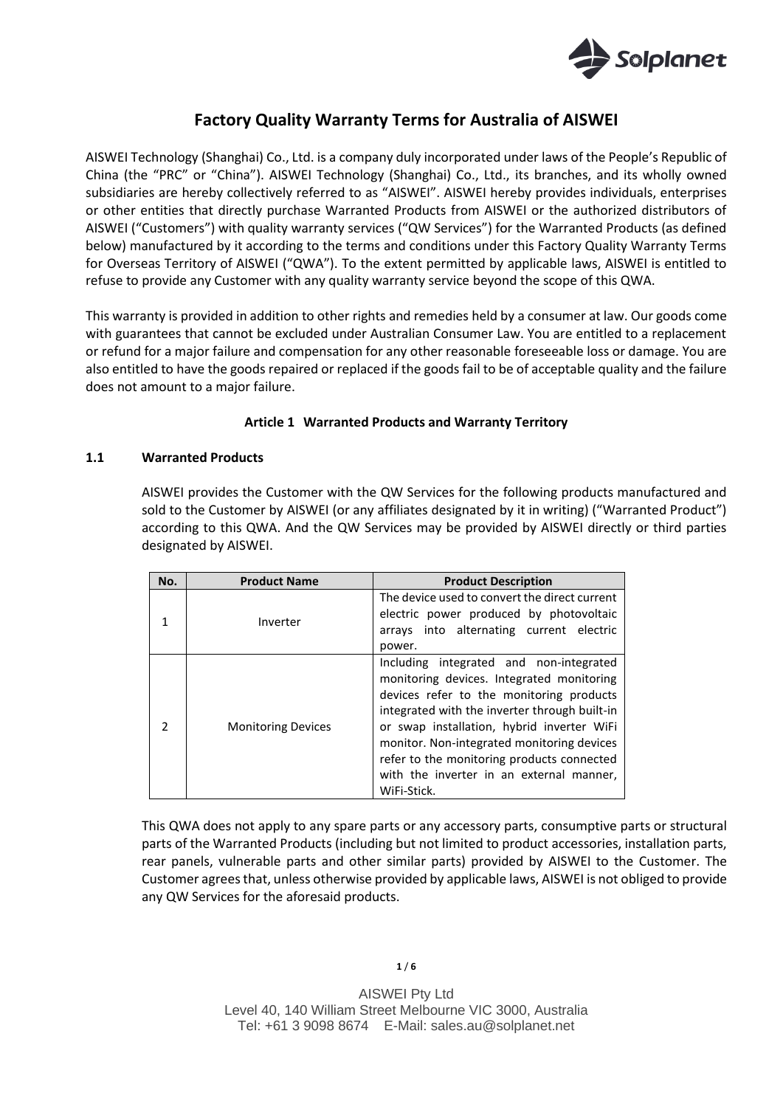

# **Factory Quality Warranty Terms for Australia of AISWEI**

AISWEI Technology (Shanghai) Co., Ltd. is a company duly incorporated under laws of the People's Republic of China (the "PRC" or "China"). AISWEI Technology (Shanghai) Co., Ltd., its branches, and its wholly owned subsidiaries are hereby collectively referred to as "AISWEI". AISWEI hereby provides individuals, enterprises or other entities that directly purchase Warranted Products from AISWEI or the authorized distributors of AISWEI ("Customers") with quality warranty services ("QW Services") for the Warranted Products (as defined below) manufactured by it according to the terms and conditions under this Factory Quality Warranty Terms for Overseas Territory of AISWEI ("QWA"). To the extent permitted by applicable laws, AISWEI is entitled to refuse to provide any Customer with any quality warranty service beyond the scope of this QWA.

This warranty is provided in addition to other rights and remedies held by a consumer at law. Our goods come with guarantees that cannot be excluded under Australian Consumer Law. You are entitled to a replacement or refund for a major failure and compensation for any other reasonable foreseeable loss or damage. You are also entitled to have the goods repaired or replaced if the goods fail to be of acceptable quality and the failure does not amount to a major failure.

## **Article 1 Warranted Products and Warranty Territory**

#### **1.1 Warranted Products**

AISWEI provides the Customer with the QW Services for the following products manufactured and sold to the Customer by AISWEI (or any affiliates designated by it in writing) ("Warranted Product") according to this QWA. And the QW Services may be provided by AISWEI directly or third parties designated by AISWEI.

| No. | <b>Product Name</b>       | <b>Product Description</b>                                                                                                                                                                                                                                                                                                                                                             |
|-----|---------------------------|----------------------------------------------------------------------------------------------------------------------------------------------------------------------------------------------------------------------------------------------------------------------------------------------------------------------------------------------------------------------------------------|
|     | Inverter                  | The device used to convert the direct current<br>electric power produced by photovoltaic<br>arrays into alternating current electric<br>power.                                                                                                                                                                                                                                         |
|     | <b>Monitoring Devices</b> | Including integrated and non-integrated<br>monitoring devices. Integrated monitoring<br>devices refer to the monitoring products<br>integrated with the inverter through built-in<br>or swap installation, hybrid inverter WiFi<br>monitor. Non-integrated monitoring devices<br>refer to the monitoring products connected<br>with the inverter in an external manner,<br>WiFi-Stick. |

This QWA does not apply to any spare parts or any accessory parts, consumptive parts or structural parts of the Warranted Products (including but not limited to product accessories, installation parts, rear panels, vulnerable parts and other similar parts) provided by AISWEI to the Customer. The Customer agrees that, unless otherwise provided by applicable laws, AISWEI is not obliged to provide any QW Services for the aforesaid products.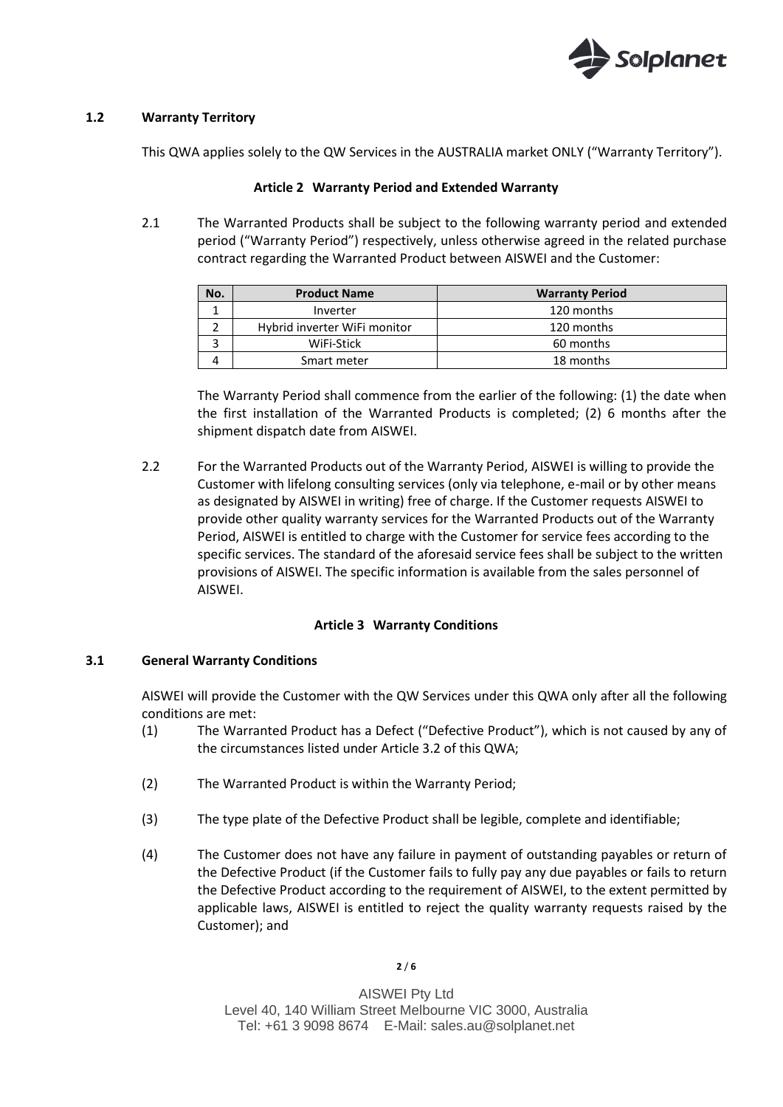

## **1.2 Warranty Territory**

This QWA applies solely to the QW Services in the AUSTRALIA market ONLY ("Warranty Territory").

## **Article 2 Warranty Period and Extended Warranty**

2.1 The Warranted Products shall be subject to the following warranty period and extended period ("Warranty Period") respectively, unless otherwise agreed in the related purchase contract regarding the Warranted Product between AISWEI and the Customer:

| No. | <b>Product Name</b>          | <b>Warranty Period</b> |
|-----|------------------------------|------------------------|
|     | Inverter                     | 120 months             |
|     | Hybrid inverter WiFi monitor | 120 months             |
|     | WiFi-Stick                   | 60 months              |
|     | Smart meter                  | 18 months              |

The Warranty Period shall commence from the earlier of the following: (1) the date when the first installation of the Warranted Products is completed; (2) 6 months after the shipment dispatch date from AISWEI.

2.2 For the Warranted Products out of the Warranty Period, AISWEI is willing to provide the Customer with lifelong consulting services (only via telephone, e-mail or by other means as designated by AISWEI in writing) free of charge. If the Customer requests AISWEI to provide other quality warranty services for the Warranted Products out of the Warranty Period, AISWEI is entitled to charge with the Customer for service fees according to the specific services. The standard of the aforesaid service fees shall be subject to the written provisions of AISWEI. The specific information is available from the sales personnel of AISWEI.

## **Article 3 Warranty Conditions**

## **3.1 General Warranty Conditions**

AISWEI will provide the Customer with the QW Services under this QWA only after all the following conditions are met:

- (1) The Warranted Product has a Defect ("Defective Product"), which is not caused by any of the circumstances listed under Article 3.2 of this QWA;
- (2) The Warranted Product is within the Warranty Period;
- (3) The type plate of the Defective Product shall be legible, complete and identifiable;
- (4) The Customer does not have any failure in payment of outstanding payables or return of the Defective Product (if the Customer fails to fully pay any due payables or fails to return the Defective Product according to the requirement of AISWEI, to the extent permitted by applicable laws, AISWEI is entitled to reject the quality warranty requests raised by the Customer); and

**2** / **6**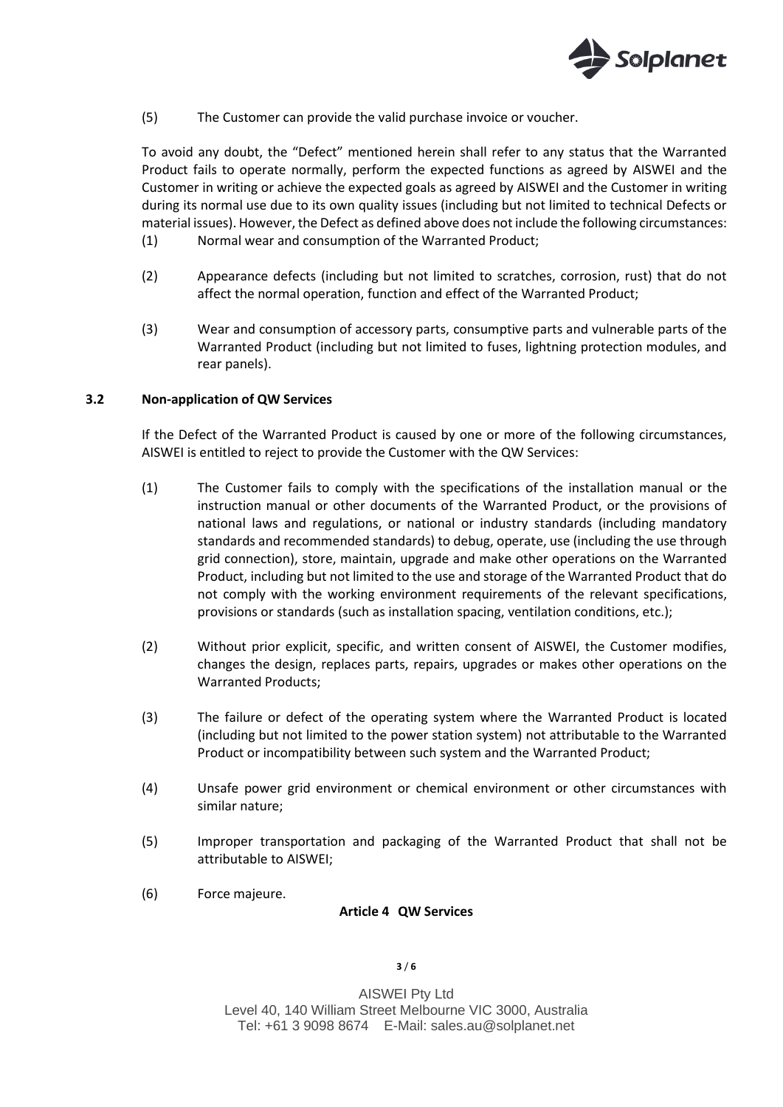

(5) The Customer can provide the valid purchase invoice or voucher.

To avoid any doubt, the "Defect" mentioned herein shall refer to any status that the Warranted Product fails to operate normally, perform the expected functions as agreed by AISWEI and the Customer in writing or achieve the expected goals as agreed by AISWEI and the Customer in writing during its normal use due to its own quality issues (including but not limited to technical Defects or material issues). However, the Defect as defined above does not include the following circumstances: (1) Normal wear and consumption of the Warranted Product;

- (2) Appearance defects (including but not limited to scratches, corrosion, rust) that do not affect the normal operation, function and effect of the Warranted Product;
- (3) Wear and consumption of accessory parts, consumptive parts and vulnerable parts of the Warranted Product (including but not limited to fuses, lightning protection modules, and rear panels).

## **3.2 Non-application of QW Services**

If the Defect of the Warranted Product is caused by one or more of the following circumstances, AISWEI is entitled to reject to provide the Customer with the QW Services:

- (1) The Customer fails to comply with the specifications of the installation manual or the instruction manual or other documents of the Warranted Product, or the provisions of national laws and regulations, or national or industry standards (including mandatory standards and recommended standards) to debug, operate, use (including the use through grid connection), store, maintain, upgrade and make other operations on the Warranted Product, including but not limited to the use and storage of the Warranted Product that do not comply with the working environment requirements of the relevant specifications, provisions or standards (such as installation spacing, ventilation conditions, etc.);
- (2) Without prior explicit, specific, and written consent of AISWEI, the Customer modifies, changes the design, replaces parts, repairs, upgrades or makes other operations on the Warranted Products;
- (3) The failure or defect of the operating system where the Warranted Product is located (including but not limited to the power station system) not attributable to the Warranted Product or incompatibility between such system and the Warranted Product;
- (4) Unsafe power grid environment or chemical environment or other circumstances with similar nature;
- (5) Improper transportation and packaging of the Warranted Product that shall not be attributable to AISWEI;
- (6) Force majeure.

#### **Article 4 QW Services**

#### **3** / **6**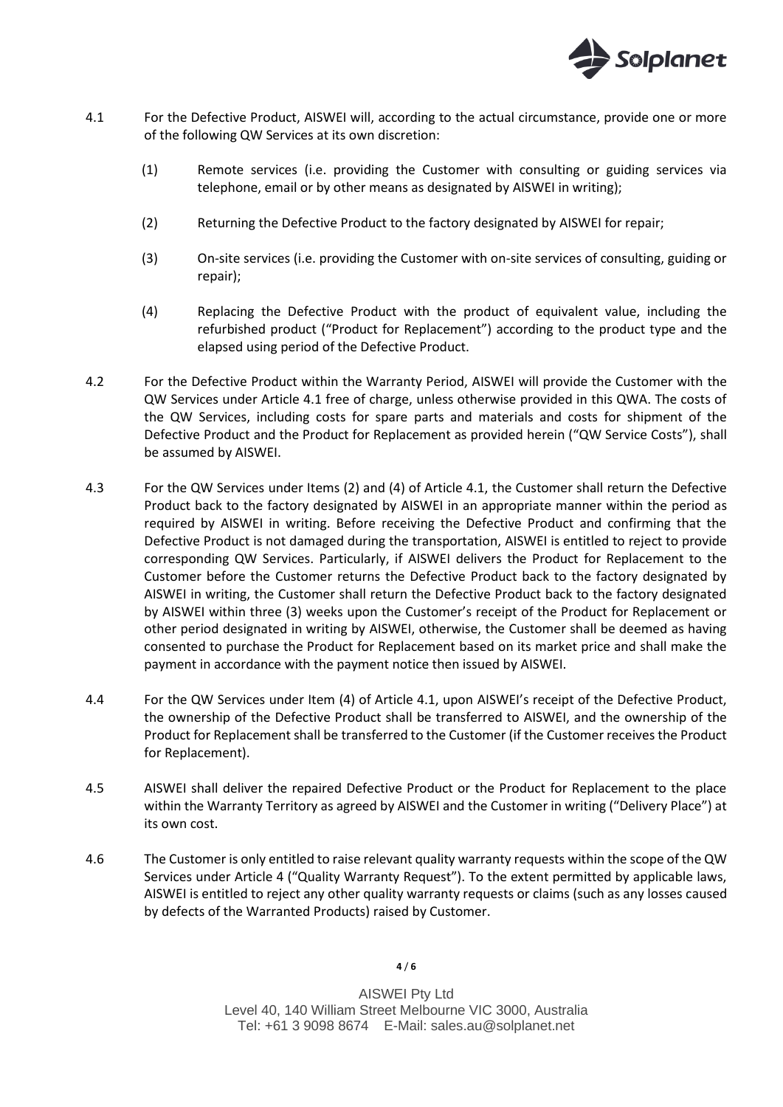

- 4.1 For the Defective Product, AISWEI will, according to the actual circumstance, provide one or more of the following QW Services at its own discretion:
	- (1) Remote services (i.e. providing the Customer with consulting or guiding services via telephone, email or by other means as designated by AISWEI in writing);
	- (2) Returning the Defective Product to the factory designated by AISWEI for repair;
	- (3) On-site services (i.e. providing the Customer with on-site services of consulting, guiding or repair);
	- (4) Replacing the Defective Product with the product of equivalent value, including the refurbished product ("Product for Replacement") according to the product type and the elapsed using period of the Defective Product.
- 4.2 For the Defective Product within the Warranty Period, AISWEI will provide the Customer with the QW Services under Article 4.1 free of charge, unless otherwise provided in this QWA. The costs of the QW Services, including costs for spare parts and materials and costs for shipment of the Defective Product and the Product for Replacement as provided herein ("QW Service Costs"), shall be assumed by AISWEI.
- 4.3 For the QW Services under Items (2) and (4) of Article 4.1, the Customer shall return the Defective Product back to the factory designated by AISWEI in an appropriate manner within the period as required by AISWEI in writing. Before receiving the Defective Product and confirming that the Defective Product is not damaged during the transportation, AISWEI is entitled to reject to provide corresponding QW Services. Particularly, if AISWEI delivers the Product for Replacement to the Customer before the Customer returns the Defective Product back to the factory designated by AISWEI in writing, the Customer shall return the Defective Product back to the factory designated by AISWEI within three (3) weeks upon the Customer's receipt of the Product for Replacement or other period designated in writing by AISWEI, otherwise, the Customer shall be deemed as having consented to purchase the Product for Replacement based on its market price and shall make the payment in accordance with the payment notice then issued by AISWEI.
- 4.4 For the QW Services under Item (4) of Article 4.1, upon AISWEI's receipt of the Defective Product, the ownership of the Defective Product shall be transferred to AISWEI, and the ownership of the Product for Replacement shall be transferred to the Customer (if the Customer receives the Product for Replacement).
- 4.5 AISWEI shall deliver the repaired Defective Product or the Product for Replacement to the place within the Warranty Territory as agreed by AISWEI and the Customer in writing ("Delivery Place") at its own cost.
- 4.6 The Customer is only entitled to raise relevant quality warranty requests within the scope of the QW Services under Article 4 ("Quality Warranty Request"). To the extent permitted by applicable laws, AISWEI is entitled to reject any other quality warranty requests or claims (such as any losses caused by defects of the Warranted Products) raised by Customer.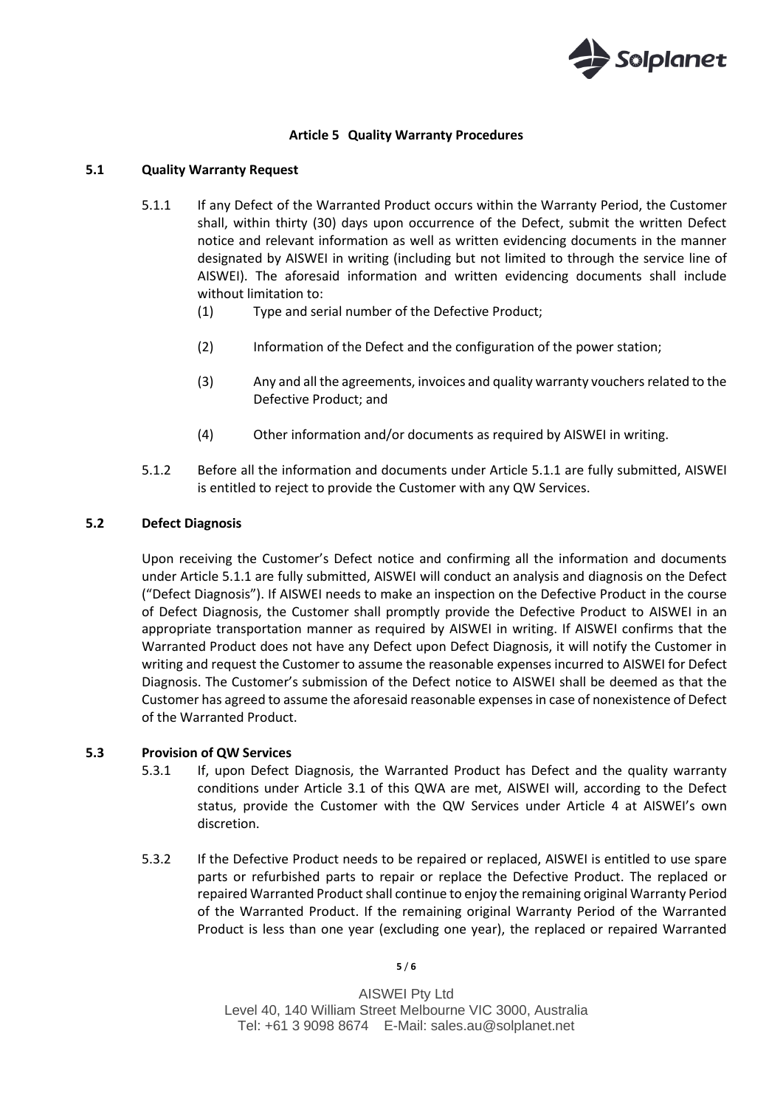

## **Article 5 Quality Warranty Procedures**

## **5.1 Quality Warranty Request**

- 5.1.1 If any Defect of the Warranted Product occurs within the Warranty Period, the Customer shall, within thirty (30) days upon occurrence of the Defect, submit the written Defect notice and relevant information as well as written evidencing documents in the manner designated by AISWEI in writing (including but not limited to through the service line of AISWEI). The aforesaid information and written evidencing documents shall include without limitation to:
	- (1) Type and serial number of the Defective Product;
	- (2) Information of the Defect and the configuration of the power station;
	- (3) Any and all the agreements, invoices and quality warranty vouchers related to the Defective Product; and
	- (4) Other information and/or documents as required by AISWEI in writing.
- 5.1.2 Before all the information and documents under Article 5.1.1 are fully submitted, AISWEI is entitled to reject to provide the Customer with any QW Services.

## **5.2 Defect Diagnosis**

Upon receiving the Customer's Defect notice and confirming all the information and documents under Article 5.1.1 are fully submitted, AISWEI will conduct an analysis and diagnosis on the Defect ("Defect Diagnosis"). If AISWEI needs to make an inspection on the Defective Product in the course of Defect Diagnosis, the Customer shall promptly provide the Defective Product to AISWEI in an appropriate transportation manner as required by AISWEI in writing. If AISWEI confirms that the Warranted Product does not have any Defect upon Defect Diagnosis, it will notify the Customer in writing and request the Customer to assume the reasonable expenses incurred to AISWEI for Defect Diagnosis. The Customer's submission of the Defect notice to AISWEI shall be deemed as that the Customer has agreed to assume the aforesaid reasonable expenses in case of nonexistence of Defect of the Warranted Product.

## **5.3 Provision of QW Services**

- 5.3.1 If, upon Defect Diagnosis, the Warranted Product has Defect and the quality warranty conditions under Article 3.1 of this QWA are met, AISWEI will, according to the Defect status, provide the Customer with the QW Services under Article 4 at AISWEI's own discretion.
- 5.3.2 If the Defective Product needs to be repaired or replaced, AISWEI is entitled to use spare parts or refurbished parts to repair or replace the Defective Product. The replaced or repaired Warranted Product shall continue to enjoy the remaining original Warranty Period of the Warranted Product. If the remaining original Warranty Period of the Warranted Product is less than one year (excluding one year), the replaced or repaired Warranted